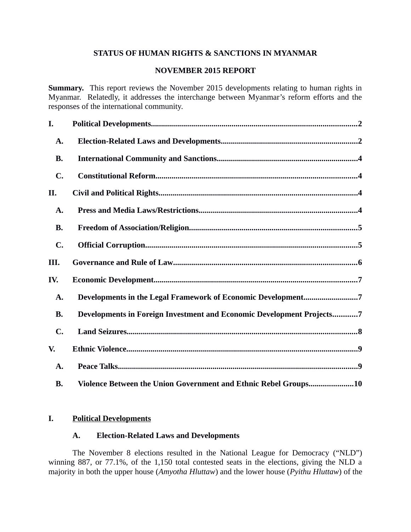# **STATUS OF HUMAN RIGHTS & SANCTIONS IN MYANMAR**

### **NOVEMBER 2015 REPORT**

**Summary.** This report reviews the November 2015 developments relating to human rights in Myanmar. Relatedly, it addresses the interchange between Myanmar's reform efforts and the responses of the international community.

| I.             |                                                                       |
|----------------|-----------------------------------------------------------------------|
| A.             |                                                                       |
| <b>B.</b>      |                                                                       |
| $\mathbf{C}$ . |                                                                       |
| II.            |                                                                       |
| A.             |                                                                       |
| <b>B.</b>      |                                                                       |
| $\mathbf{C}$ . |                                                                       |
| III.           |                                                                       |
| IV.            |                                                                       |
|                |                                                                       |
| A.             | Developments in the Legal Framework of Economic Development7          |
| <b>B.</b>      | Developments in Foreign Investment and Economic Development Projects7 |
| $\mathbf{C}$ . |                                                                       |
| V.             |                                                                       |
| A.             |                                                                       |

### **I. Political Developments**

### <span id="page-0-1"></span><span id="page-0-0"></span>**A. Election-Related Laws and Developments**

The November 8 elections resulted in the National League for Democracy ("NLD") winning 887, or 77.1%, of the 1,150 total contested seats in the elections, giving the NLD a majority in both the upper house (*Amyotha Hluttaw*) and the lower house (*Pyithu Hluttaw*) of the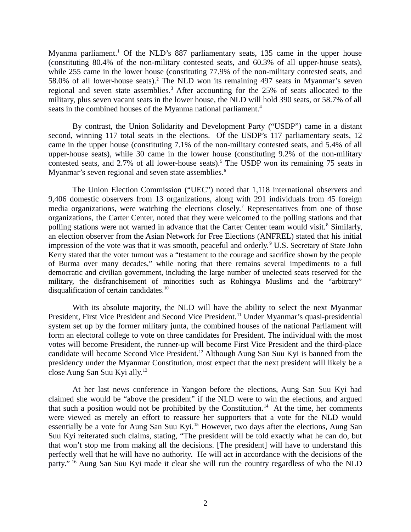Myanma parliament.<sup>1</sup> Of the NLD's 887 parliamentary seats, 135 came in the upper house (constituting 80.4% of the non-military contested seats, and 60.3% of all upper-house seats), while 255 came in the lower house (constituting 77.9% of the non-military contested seats, and 58.0% of all lower-house seats).<sup>2</sup> The NLD won its remaining 497 seats in Myanmar's seven regional and seven state assemblies.<sup>3</sup> After accounting for the 25% of seats allocated to the military, plus seven vacant seats in the lower house, the NLD will hold 390 seats, or 58.7% of all seats in the combined houses of the Myanma national parliament.<sup>4</sup>

By contrast, the Union Solidarity and Development Party ("USDP") came in a distant second, winning 117 total seats in the elections. Of the USDP's 117 parliamentary seats, 12 came in the upper house (constituting 7.1% of the non-military contested seats, and 5.4% of all upper-house seats), while 30 came in the lower house (constituting 9.2% of the non-military contested seats, and 2.7% of all lower-house seats).<sup>5</sup> The USDP won its remaining 75 seats in Myanmar's seven regional and seven state assemblies.<sup>6</sup>

The Union Election Commission ("UEC") noted that 1,118 international observers and 9,406 domestic observers from 13 organizations, along with 291 individuals from 45 foreign media organizations, were watching the elections closely.<sup>7</sup> Representatives from one of those organizations, the Carter Center, noted that they were welcomed to the polling stations and that polling stations were not warned in advance that the Carter Center team would visit.<sup>8</sup> Similarly, an election observer from the Asian Network for Free Elections (ANFREL) stated that his initial impression of the vote was that it was smooth, peaceful and orderly.<sup>9</sup> U.S. Secretary of State John Kerry stated that the voter turnout was a "testament to the courage and sacrifice shown by the people of Burma over many decades," while noting that there remains several impediments to a full democratic and civilian government, including the large number of unelected seats reserved for the military, the disfranchisement of minorities such as Rohingya Muslims and the "arbitrary" disqualification of certain candidates.<sup>10</sup>

With its absolute majority, the NLD will have the ability to select the next Myanmar President, First Vice President and Second Vice President.<sup>11</sup> Under Myanmar's quasi-presidential system set up by the former military junta, the combined houses of the national Parliament will form an electoral college to vote on three candidates for President. The individual with the most votes will become President, the runner-up will become First Vice President and the third-place candidate will become Second Vice President.<sup>12</sup> Although Aung San Suu Kyi is banned from the presidency under the Myanmar Constitution, most expect that the next president will likely be a close Aung San Suu Kyi ally.<sup>13</sup>

At her last news conference in Yangon before the elections, Aung San Suu Kyi had claimed she would be "above the president" if the NLD were to win the elections, and argued that such a position would not be prohibited by the Constitution.<sup>14</sup> At the time, her comments were viewed as merely an effort to reassure her supporters that a vote for the NLD would essentially be a vote for Aung San Suu Kyi.<sup>15</sup> However, two days after the elections, Aung San Suu Kyi reiterated such claims, stating, "The president will be told exactly what he can do, but that won't stop me from making all the decisions. [The president] will have to understand this perfectly well that he will have no authority. He will act in accordance with the decisions of the party." <sup>16</sup> Aung San Suu Kyi made it clear she will run the country regardless of who the NLD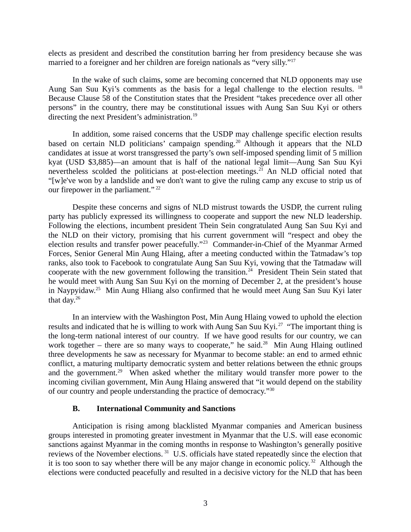elects as president and described the constitution barring her from presidency because she was married to a foreigner and her children are foreign nationals as "very silly."<sup>17</sup>

In the wake of such claims, some are becoming concerned that NLD opponents may use Aung San Suu Kyi's comments as the basis for a legal challenge to the election results. <sup>18</sup> Because Clause 58 of the Constitution states that the President "takes precedence over all other persons" in the country, there may be constitutional issues with Aung San Suu Kyi or others directing the next President's administration.<sup>19</sup>

In addition, some raised concerns that the USDP may challenge specific election results based on certain NLD politicians' campaign spending.<sup>20</sup> Although it appears that the NLD candidates at issue at worst transgressed the party's own self-imposed spending limit of 5 million kyat (USD \$3,885)—an amount that is half of the national legal limit—Aung San Suu Kyi nevertheless scolded the politicians at post-election meetings.<sup>21</sup> An NLD official noted that "[w]e've won by a landslide and we don't want to give the ruling camp any excuse to strip us of our firepower in the parliament."<sup>22</sup>

Despite these concerns and signs of NLD mistrust towards the USDP, the current ruling party has publicly expressed its willingness to cooperate and support the new NLD leadership. Following the elections, incumbent president Thein Sein congratulated Aung San Suu Kyi and the NLD on their victory, promising that his current government will "respect and obey the election results and transfer power peacefully."<sup>23</sup> Commander-in-Chief of the Myanmar Armed Forces, Senior General Min Aung Hlaing, after a meeting conducted within the Tatmadaw's top ranks, also took to Facebook to congratulate Aung San Suu Kyi, vowing that the Tatmadaw will cooperate with the new government following the transition.<sup>24</sup> President Thein Sein stated that he would meet with Aung San Suu Kyi on the morning of December 2, at the president's house in Naypyidaw.<sup>25</sup> Min Aung Hliang also confirmed that he would meet Aung San Suu Kyi later that day.<sup>26</sup>

In an interview with the Washington Post, Min Aung Hlaing vowed to uphold the election results and indicated that he is willing to work with Aung San Suu Kyi.<sup>27</sup> "The important thing is the long-term national interest of our country. If we have good results for our country, we can work together – there are so many ways to cooperate," he said.<sup>28</sup> Min Aung Hlaing outlined three developments he saw as necessary for Myanmar to become stable: an end to armed ethnic conflict, a maturing multiparty democratic system and better relations between the ethnic groups and the government.<sup>29</sup> When asked whether the military would transfer more power to the incoming civilian government, Min Aung Hlaing answered that "it would depend on the stability of our country and people understanding the practice of democracy."<sup>30</sup>

#### <span id="page-2-0"></span>**B. International Community and Sanctions**

Anticipation is rising among blacklisted Myanmar companies and American business groups interested in promoting greater investment in Myanmar that the U.S. will ease economic sanctions against Myanmar in the coming months in response to Washington's generally positive reviews of the November elections. <sup>31</sup> U.S. officials have stated repeatedly since the election that it is too soon to say whether there will be any major change in economic policy.<sup>32</sup> Although the elections were conducted peacefully and resulted in a decisive victory for the NLD that has been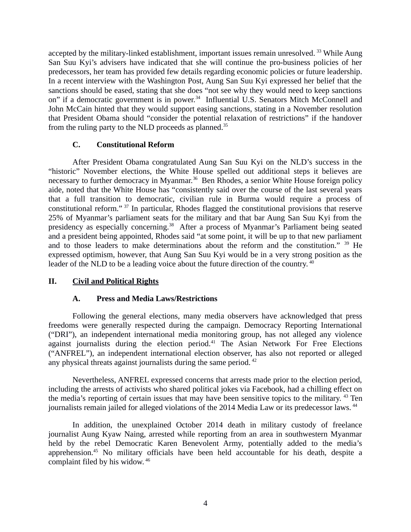accepted by the military-linked establishment, important issues remain unresolved.<sup>33</sup> While Aung San Suu Kyi's advisers have indicated that she will continue the pro-business policies of her predecessors, her team has provided few details regarding economic policies or future leadership. In a recent interview with the Washington Post, Aung San Suu Kyi expressed her belief that the sanctions should be eased, stating that she does "not see why they would need to keep sanctions on" if a democratic government is in power.<sup>34</sup> Influential U.S. Senators Mitch McConnell and John McCain hinted that they would support easing sanctions, stating in a November resolution that President Obama should "consider the potential relaxation of restrictions" if the handover from the ruling party to the NLD proceeds as planned.<sup>35</sup>

## <span id="page-3-2"></span>**C. Constitutional Reform**

After President Obama congratulated Aung San Suu Kyi on the NLD's success in the "historic" November elections, the White House spelled out additional steps it believes are necessary to further democracy in Myanmar.<sup>36</sup> Ben Rhodes, a senior White House foreign policy aide, noted that the White House has "consistently said over the course of the last several years that a full transition to democratic, civilian rule in Burma would require a process of constitutional reform." <sup>37</sup> In particular, Rhodes flagged the constitutional provisions that reserve 25% of Myanmar's parliament seats for the military and that bar Aung San Suu Kyi from the presidency as especially concerning.<sup>38</sup> After a process of Myanmar's Parliament being seated and a president being appointed, Rhodes said "at some point, it will be up to that new parliament and to those leaders to make determinations about the reform and the constitution." <sup>39</sup> He expressed optimism, however, that Aung San Suu Kyi would be in a very strong position as the leader of the NLD to be a leading voice about the future direction of the country. <sup>40</sup>

# **II. Civil and Political Rights**

# <span id="page-3-1"></span><span id="page-3-0"></span>**A. Press and Media Laws/Restrictions**

Following the general elections, many media observers have acknowledged that press freedoms were generally respected during the campaign. Democracy Reporting International ("DRI"), an independent international media monitoring group, has not alleged any violence against journalists during the election period.<sup>41</sup> The Asian Network For Free Elections ("ANFREL"), an independent international election observer, has also not reported or alleged any physical threats against journalists during the same period. <sup>42</sup>

Nevertheless, ANFREL expressed concerns that arrests made prior to the election period, including the arrests of activists who shared political jokes via Facebook, had a chilling effect on the media's reporting of certain issues that may have been sensitive topics to the military. <sup>43</sup> Ten journalists remain jailed for alleged violations of the 2014 Media Law or its predecessor laws.<sup>44</sup>

In addition, the unexplained October 2014 death in military custody of freelance journalist Aung Kyaw Naing, arrested while reporting from an area in southwestern Myanmar held by the rebel Democratic Karen Benevolent Army, potentially added to the media's apprehension.<sup>45</sup> No military officials have been held accountable for his death, despite a complaint filed by his widow. <sup>46</sup>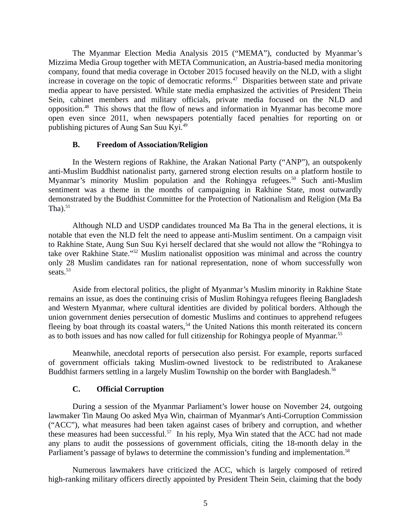The Myanmar Election Media Analysis 2015 ("MEMA"), conducted by Myanmar's Mizzima Media Group together with META Communication, an Austria-based media monitoring company, found that media coverage in October 2015 focused heavily on the NLD, with a slight increase in coverage on the topic of democratic reforms. $47$  Disparities between state and private media appear to have persisted. While state media emphasized the activities of President Thein Sein, cabinet members and military officials, private media focused on the NLD and opposition.<sup>48</sup> This shows that the flow of news and information in Myanmar has become more open even since 2011, when newspapers potentially faced penalties for reporting on or publishing pictures of Aung San Suu Kyi.<sup>49</sup>

### <span id="page-4-1"></span>**B. Freedom of Association/Religion**

In the Western regions of Rakhine, the Arakan National Party ("ANP"), an outspokenly anti-Muslim Buddhist nationalist party, garnered strong election results on a platform hostile to Myanmar's minority Muslim population and the Rohingya refugees.<sup>50</sup> Such anti-Muslim sentiment was a theme in the months of campaigning in Rakhine State, most outwardly demonstrated by the Buddhist Committee for the Protection of Nationalism and Religion (Ma Ba Tha). $51$ 

Although NLD and USDP candidates trounced Ma Ba Tha in the general elections, it is notable that even the NLD felt the need to appease anti-Muslim sentiment. On a campaign visit to Rakhine State, Aung Sun Suu Kyi herself declared that she would not allow the "Rohingya to take over Rakhine State."<sup>52</sup> Muslim nationalist opposition was minimal and across the country only 28 Muslim candidates ran for national representation, none of whom successfully won seats. $53$ 

Aside from electoral politics, the plight of Myanmar's Muslim minority in Rakhine State remains an issue, as does the continuing crisis of Muslim Rohingya refugees fleeing Bangladesh and Western Myanmar, where cultural identities are divided by political borders. Although the union government denies persecution of domestic Muslims and continues to apprehend refugees fleeing by boat through its coastal waters,<sup>54</sup> the United Nations this month reiterated its concern as to both issues and has now called for full citizenship for Rohingya people of Myanmar.<sup>55</sup>

Meanwhile, anecdotal reports of persecution also persist. For example, reports surfaced of government officials taking Muslim-owned livestock to be redistributed to Arakanese Buddhist farmers settling in a largely Muslim Township on the border with Bangladesh.<sup>56</sup>

# <span id="page-4-0"></span>**C. Official Corruption**

During a session of the Myanmar Parliament's lower house on November 24, outgoing lawmaker Tin Maung Oo asked Mya Win, chairman of Myanmar's Anti-Corruption Commission ("ACC"), what measures had been taken against cases of bribery and corruption, and whether these measures had been successful.<sup>57</sup> In his reply, Mya Win stated that the ACC had not made any plans to audit the possessions of government officials, citing the 18-month delay in the Parliament's passage of bylaws to determine the commission's funding and implementation.<sup>58</sup>

Numerous lawmakers have criticized the ACC, which is largely composed of retired high-ranking military officers directly appointed by President Thein Sein, claiming that the body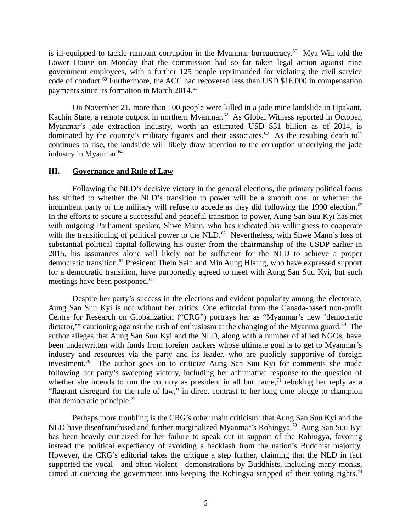is ill-equipped to tackle rampant corruption in the Myanmar bureaucracy.<sup>59</sup> Mya Win told the Lower House on Monday that the commission had so far taken legal action against nine government employees, with a further 125 people reprimanded for violating the civil service code of conduct.<sup>60</sup> Furthermore, the ACC had recovered less than USD \$16,000 in compensation payments since its formation in March 2014.<sup>61</sup>

On November 21, more than 100 people were killed in a jade mine landslide in Hpakant, Kachin State, a remote outpost in northern Myanmar.<sup>62</sup> As Global Witness reported in October, Myanmar's jade extraction industry, worth an estimated USD \$31 billion as of 2014, is dominated by the country's military figures and their associates.<sup>63</sup> As the resulting death toll continues to rise, the landslide will likely draw attention to the corruption underlying the jade industry in Myanmar.<sup>64</sup>

#### <span id="page-5-0"></span>**III. Governance and Rule of Law**

Following the NLD's decisive victory in the general elections, the primary political focus has shifted to whether the NLD's transition to power will be a smooth one, or whether the incumbent party or the military will refuse to accede as they did following the 1990 election.<sup>65</sup> In the efforts to secure a successful and peaceful transition to power, Aung San Suu Kyi has met with outgoing Parliament speaker, Shwe Mann, who has indicated his willingness to cooperate with the transitioning of political power to the NLD.<sup>66</sup> Nevertheless, with Shwe Mann's loss of substantial political capital following his ouster from the chairmanship of the USDP earlier in 2015, his assurances alone will likely not be sufficient for the NLD to achieve a proper democratic transition.<sup>67</sup> President Thein Sein and Min Aung Hlaing, who have expressed support for a democratic transition, have purportedly agreed to meet with Aung San Suu Kyi, but such meetings have been postponed.<sup>68</sup>

Despite her party's success in the elections and evident popularity among the electorate, Aung San Suu Kyi is not without her critics. One editorial from the Canada-based non-profit Centre for Research on Globalization ("CRG") portrays her as "Myanmar's new 'democratic dictator,'" cautioning against the rush of enthusiasm at the changing of the Myanma guard.<sup>69</sup> The author alleges that Aung San Suu Kyi and the NLD, along with a number of allied NGOs, have been underwritten with funds from foreign backers whose ultimate goal is to get to Myanmar's industry and resources via the party and its leader, who are publicly supportive of foreign investment.<sup>70</sup> The author goes on to criticize Aung San Suu Kyi for comments she made following her party's sweeping victory, including her affirmative response to the question of whether she intends to run the country as president in all but name, $<sup>71</sup>$  rebuking her reply as a</sup> "flagrant disregard for the rule of law," in direct contrast to her long time pledge to champion that democratic principle.<sup>72</sup>

Perhaps more troubling is the CRG's other main criticism: that Aung San Suu Kyi and the NLD have disenfranchised and further marginalized Myanmar's Rohingya.<sup>73</sup> Aung San Suu Kyi has been heavily criticized for her failure to speak out in support of the Rohingya, favoring instead the political expediency of avoiding a backlash from the nation's Buddhist majority. However, the CRG's editorial takes the critique a step further, claiming that the NLD in fact supported the vocal—and often violent—demonstrations by Buddhists, including many monks, aimed at coercing the government into keeping the Rohingya stripped of their voting rights.<sup>74</sup>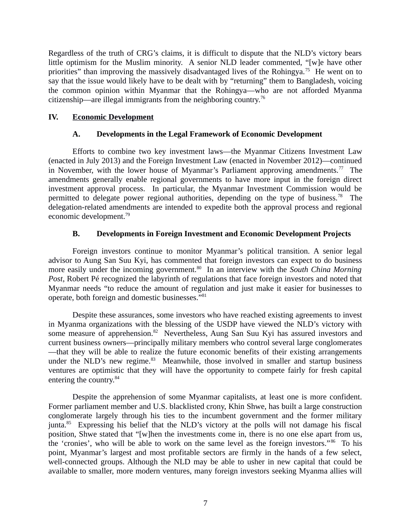Regardless of the truth of CRG's claims, it is difficult to dispute that the NLD's victory bears little optimism for the Muslim minority. A senior NLD leader commented, "[w]e have other priorities" than improving the massively disadvantaged lives of the Rohingya.<sup>75</sup> He went on to say that the issue would likely have to be dealt with by "returning" them to Bangladesh, voicing the common opinion within Myanmar that the Rohingya—who are not afforded Myanma citizenship—are illegal immigrants from the neighboring country.<sup>76</sup>

# **IV. Economic Development**

### <span id="page-6-2"></span><span id="page-6-1"></span>**A. Developments in the Legal Framework of Economic Development**

Efforts to combine two key investment laws—the Myanmar Citizens Investment Law (enacted in July 2013) and the Foreign Investment Law (enacted in November 2012)—continued in November, with the lower house of Myanmar's Parliament approving amendments.<sup>77</sup> The amendments generally enable regional governments to have more input in the foreign direct investment approval process. In particular, the Myanmar Investment Commission would be permitted to delegate power regional authorities, depending on the type of business.<sup>78</sup> The delegation-related amendments are intended to expedite both the approval process and regional economic development.<sup>79</sup>

## <span id="page-6-0"></span>**B. Developments in Foreign Investment and Economic Development Projects**

Foreign investors continue to monitor Myanmar's political transition. A senior legal advisor to Aung San Suu Kyi, has commented that foreign investors can expect to do business more easily under the incoming government.<sup>80</sup> In an interview with the *South China Morning Post*, Robert Pé recognized the labyrinth of regulations that face foreign investors and noted that Myanmar needs "to reduce the amount of regulation and just make it easier for businesses to operate, both foreign and domestic businesses."<sup>81</sup>

Despite these assurances, some investors who have reached existing agreements to invest in Myanma organizations with the blessing of the USDP have viewed the NLD's victory with some measure of apprehension.<sup>82</sup> Nevertheless, Aung San Suu Kyi has assured investors and current business owners—principally military members who control several large conglomerates —that they will be able to realize the future economic benefits of their existing arrangements under the NLD's new regime.<sup>83</sup> Meanwhile, those involved in smaller and startup business ventures are optimistic that they will have the opportunity to compete fairly for fresh capital entering the country.<sup>84</sup>

Despite the apprehension of some Myanmar capitalists, at least one is more confident. Former parliament member and U.S. blacklisted crony, Khin Shwe, has built a large construction conglomerate largely through his ties to the incumbent government and the former military junta.<sup>85</sup> Expressing his belief that the NLD's victory at the polls will not damage his fiscal position, Shwe stated that "[w]hen the investments come in, there is no one else apart from us, the 'cronies', who will be able to work on the same level as the foreign investors." $86$  To his point, Myanmar's largest and most profitable sectors are firmly in the hands of a few select, well-connected groups. Although the NLD may be able to usher in new capital that could be available to smaller, more modern ventures, many foreign investors seeking Myanma allies will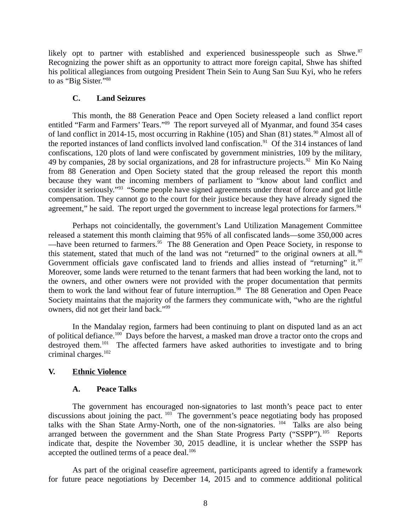likely opt to partner with established and experienced businesspeople such as Shwe. $87$ Recognizing the power shift as an opportunity to attract more foreign capital, Shwe has shifted his political allegiances from outgoing President Thein Sein to Aung San Suu Kyi, who he refers to as "Big Sister."88

## <span id="page-7-2"></span>**C. Land Seizures**

This month, the 88 Generation Peace and Open Society released a land conflict report entitled "Farm and Farmers' Tears."<sup>89</sup> The report surveyed all of Myanmar, and found 354 cases of land conflict in 2014-15, most occurring in Rakhine (105) and Shan (81) states.<sup>90</sup> Almost all of the reported instances of land conflicts involved land confiscation.<sup>91</sup> Of the 314 instances of land confiscations, 120 plots of land were confiscated by government ministries, 109 by the military, 49 by companies, 28 by social organizations, and 28 for infrastructure projects.<sup>92</sup> Min Ko Naing from 88 Generation and Open Society stated that the group released the report this month because they want the incoming members of parliament to "know about land conflict and consider it seriously."<sup>93</sup> "Some people have signed agreements under threat of force and got little compensation. They cannot go to the court for their justice because they have already signed the agreement," he said. The report urged the government to increase legal protections for farmers.<sup>94</sup>

Perhaps not coincidentally, the government's Land Utilization Management Committee released a statement this month claiming that 95% of all confiscated lands—some 350,000 acres —have been returned to farmers. $95$  The 88 Generation and Open Peace Society, in response to this statement, stated that much of the land was not "returned" to the original owners at all.<sup>96</sup> Government officials gave confiscated land to friends and allies instead of "returning" it.<sup>97</sup> Moreover, some lands were returned to the tenant farmers that had been working the land, not to the owners, and other owners were not provided with the proper documentation that permits them to work the land without fear of future interruption.<sup>98</sup> The 88 Generation and Open Peace Society maintains that the majority of the farmers they communicate with, "who are the rightful owners, did not get their land back."<sup>99</sup>

In the Mandalay region, farmers had been continuing to plant on disputed land as an act of political defiance.<sup>100</sup> Days before the harvest, a masked man drove a tractor onto the crops and destroyed them.<sup>101</sup> The affected farmers have asked authorities to investigate and to bring criminal charges.<sup>102</sup>

# **V. Ethnic Violence**

### <span id="page-7-1"></span><span id="page-7-0"></span>**A. Peace Talks**

The government has encouraged non-signatories to last month's peace pact to enter discussions about joining the pact.  $103$  The government's peace negotiating body has proposed talks with the Shan State Army-North, one of the non-signatories. <sup>104</sup> Talks are also being arranged between the government and the Shan State Progress Party ("SSPP"). $105$  Reports indicate that, despite the November 30, 2015 deadline, it is unclear whether the SSPP has accepted the outlined terms of a peace deal. $106$ 

As part of the original ceasefire agreement, participants agreed to identify a framework for future peace negotiations by December 14, 2015 and to commence additional political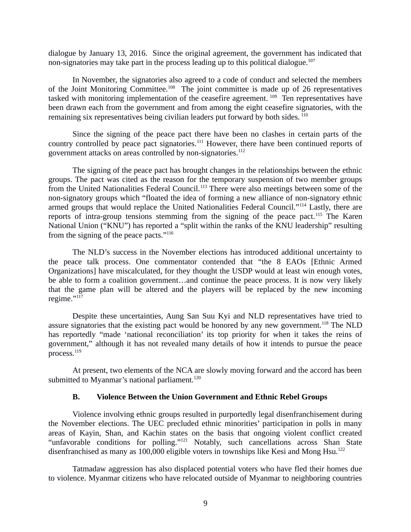dialogue by January 13, 2016. Since the original agreement, the government has indicated that non-signatories may take part in the process leading up to this political dialogue.<sup>107</sup>

In November, the signatories also agreed to a code of conduct and selected the members of the Joint Monitoring Committee.<sup>108</sup> The joint committee is made up of 26 representatives tasked with monitoring implementation of the ceasefire agreement.<sup>109</sup> Ten representatives have been drawn each from the government and from among the eight ceasefire signatories, with the remaining six representatives being civilian leaders put forward by both sides.<sup>110</sup>

Since the signing of the peace pact there have been no clashes in certain parts of the country controlled by peace pact signatories.<sup>111</sup> However, there have been continued reports of government attacks on areas controlled by non-signatories.<sup>112</sup>

The signing of the peace pact has brought changes in the relationships between the ethnic groups. The pact was cited as the reason for the temporary suspension of two member groups from the United Nationalities Federal Council.<sup>113</sup> There were also meetings between some of the non-signatory groups which "floated the idea of forming a new alliance of non-signatory ethnic armed groups that would replace the United Nationalities Federal Council."<sup>114</sup> Lastly, there are reports of intra-group tensions stemming from the signing of the peace pact.<sup>115</sup> The Karen National Union ("KNU") has reported a "split within the ranks of the KNU leadership" resulting from the signing of the peace pacts."<sup>116</sup>

The NLD's success in the November elections has introduced additional uncertainty to the peace talk process. One commentator contended that "the 8 EAOs [Ethnic Armed Organizations] have miscalculated, for they thought the USDP would at least win enough votes, be able to form a coalition government…and continue the peace process. It is now very likely that the game plan will be altered and the players will be replaced by the new incoming regime."117

Despite these uncertainties, Aung San Suu Kyi and NLD representatives have tried to assure signatories that the existing pact would be honored by any new government.<sup>118</sup> The NLD has reportedly "made 'national reconciliation' its top priority for when it takes the reins of government," although it has not revealed many details of how it intends to pursue the peace process.<sup>119</sup>

At present, two elements of the NCA are slowly moving forward and the accord has been submitted to Myanmar's national parliament. $120$ 

#### <span id="page-8-0"></span>**B. Violence Between the Union Government and Ethnic Rebel Groups**

Violence involving ethnic groups resulted in purportedly legal disenfranchisement during the November elections. The UEC precluded ethnic minorities' participation in polls in many areas of Kayin, Shan, and Kachin states on the basis that ongoing violent conflict created "unfavorable conditions for polling."<sup>121</sup> Notably, such cancellations across Shan State disenfranchised as many as 100,000 eligible voters in townships like Kesi and Mong Hsu.<sup>122</sup>

Tatmadaw aggression has also displaced potential voters who have fled their homes due to violence. Myanmar citizens who have relocated outside of Myanmar to neighboring countries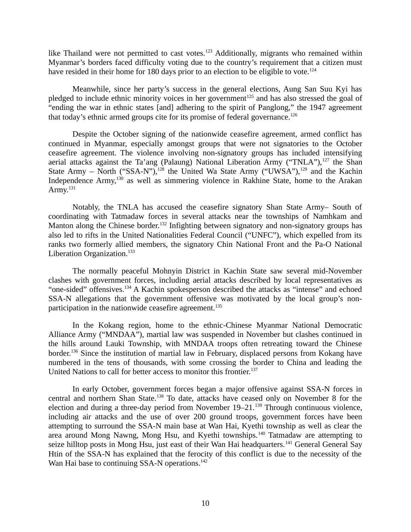like Thailand were not permitted to cast votes.<sup>123</sup> Additionally, migrants who remained within Myanmar's borders faced difficulty voting due to the country's requirement that a citizen must have resided in their home for 180 days prior to an election to be eligible to vote.<sup>124</sup>

Meanwhile, since her party's success in the general elections, Aung San Suu Kyi has pledged to include ethnic minority voices in her government<sup>125</sup> and has also stressed the goal of "ending the war in ethnic states [and] adhering to the spirit of Panglong," the 1947 agreement that today's ethnic armed groups cite for its promise of federal governance.<sup>126</sup>

Despite the October signing of the nationwide ceasefire agreement, armed conflict has continued in Myanmar, especially amongst groups that were not signatories to the October ceasefire agreement. The violence involving non-signatory groups has included intensifying aerial attacks against the Ta'ang (Palaung) National Liberation Army ("TNLA"), $^{127}$  the Shan State Army – North ("SSA-N"),<sup>128</sup> the United Wa State Army ("UWSA"),<sup>129</sup> and the Kachin Independence Army,<sup>130</sup> as well as simmering violence in Rakhine State, home to the Arakan Army.<sup>131</sup>

Notably, the TNLA has accused the ceasefire signatory Shan State Army– South of coordinating with Tatmadaw forces in several attacks near the townships of Namhkam and Manton along the Chinese border.<sup>132</sup> Infighting between signatory and non-signatory groups has also led to rifts in the United Nationalities Federal Council ("UNFC"), which expelled from its ranks two formerly allied members, the signatory Chin National Front and the Pa-O National Liberation Organization.<sup>133</sup>

The normally peaceful Mohnyin District in Kachin State saw several mid-November clashes with government forces, including aerial attacks described by local representatives as "one-sided" offensives.<sup>134</sup> A Kachin spokesperson described the attacks as "intense" and echoed SSA-N allegations that the government offensive was motivated by the local group's nonparticipation in the nationwide ceasefire agreement. $135$ 

In the Kokang region, home to the ethnic-Chinese Myanmar National Democratic Alliance Army ("MNDAA"), martial law was suspended in November but clashes continued in the hills around Lauki Township, with MNDAA troops often retreating toward the Chinese border.<sup>136</sup> Since the institution of martial law in February, displaced persons from Kokang have numbered in the tens of thousands, with some crossing the border to China and leading the United Nations to call for better access to monitor this frontier.<sup>137</sup>

In early October, government forces began a major offensive against SSA-N forces in central and northern Shan State.<sup>138</sup> To date, attacks have ceased only on November 8 for the election and during a three-day period from November  $19-21$ .<sup>139</sup> Through continuous violence, including air attacks and the use of over 200 ground troops, government forces have been attempting to surround the SSA-N main base at Wan Hai, Kyethi township as well as clear the area around Mong Nawng, Mong Hsu, and Kyethi townships.<sup>140</sup> Tatmadaw are attempting to seize hilltop posts in Mong Hsu, just east of their Wan Hai headquarters.<sup>141</sup> General General Say Htin of the SSA-N has explained that the ferocity of this conflict is due to the necessity of the Wan Hai base to continuing SSA-N operations.<sup>142</sup>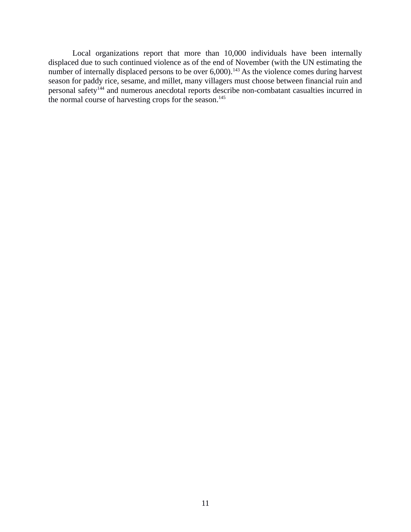Local organizations report that more than 10,000 individuals have been internally displaced due to such continued violence as of the end of November (with the UN estimating the number of internally displaced persons to be over 6,000).<sup>143</sup> As the violence comes during harvest season for paddy rice, sesame, and millet, many villagers must choose between financial ruin and personal safety<sup>144</sup> and numerous anecdotal reports describe non-combatant casualties incurred in the normal course of harvesting crops for the season.<sup>145</sup>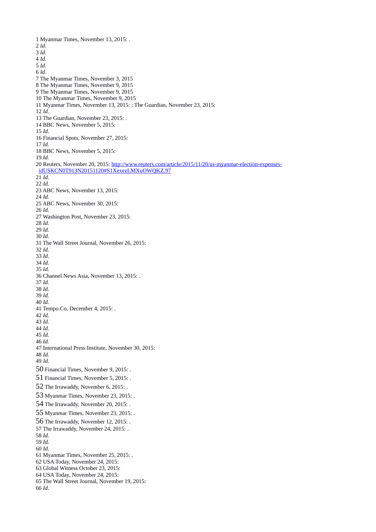1 Myanmar Times, November 13, 2015: . *Id. Id. Id. Id. Id.* 7 The Myanmar Times, November 3, 2015 8 The Myanmar Times, November 9, 2015 9 The Myanmar Times, November 9, 2015 10 The Myanmar Times, November 9, 2015 11 Myanmar Times, November 13, 2015: ; The Guardian, November 23, 2015: *Id.* 13 The Guardian, November 23, 2015: . 14 BBC News, November 5, 2015: *Id.* 16 Financial Spots, November 27, 2015: *Id.* 18 BBC News, November 5, 2015: *Id.* 20 Reuters, November 20, 2015: [http://www.reuters.com/article/2015/11/20/us-myanmar-election-expenses](http://www.reuters.com/article/2015/11/20/us-myanmar-election-expenses-idUSKCN0T913N20151120#S1XexezLMXuOWQKZ.97)[idUSKCN0T913N20151120#S1XexezLMXuOWQKZ.97](http://www.reuters.com/article/2015/11/20/us-myanmar-election-expenses-idUSKCN0T913N20151120#S1XexezLMXuOWQKZ.97) *Id. Id.* 23 ABC News, November 13, 2015: *Id.* 25 ABC News, November 30, 2015: *Id.* 27 Washington Post, November 23, 2015: *Id. Id. Id.* 31 The Wall Street Journal, November 26, 2015: *Id. Id. Id. Id.* 36 Channel News Asia, November 13, 2015: . *Id. Id. Id. Id.* 41 Tempo.Co, December 4, 2015: . *Id. Id. Id. Id. Id.* 47 International Press Institute, November 30, 2015: *Id. Id.* Financial Times, November 9, 2015: . Financial Times, November 5, 2015: . The Irrawaddy, November 6, 2015: . Myanmar Times, November 23, 2015: . The Irrawaddy, November 20, 2015: . Myanmar Times, November 23, 2015: . The Irrawaddy, November 12, 2015: . 57 The Irrawaddy, November 24, 2015: . *Id. Id. Id.* 61 Myanmar Times, November 25, 2015: . 62 USA Today, November 24, 2015: 63 Global Witness October 23, 2015: 64 USA Today, November 24, 2015: 65 The Wall Street Journal, November 19, 2015: *Id*.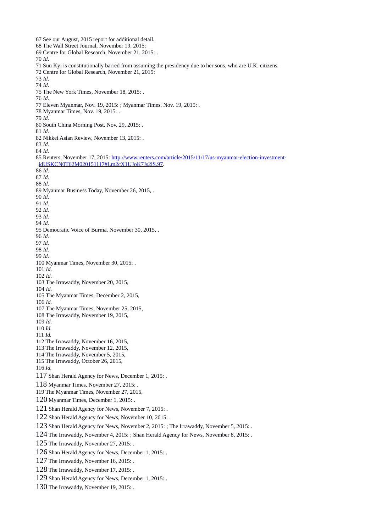67 See our August, 2015 report for additional detail. 68 The Wall Street Journal, November 19, 2015: 69 Centre for Global Research, November 21, 2015: . *Id*. 71 Suu Kyi is constitutionally barred from assuming the presidency due to her sons, who are U.K. citizens. 72 Centre for Global Research, November 21, 2015: *Id*. *Id*. 75 The New York Times, November 18, 2015: . *Id*. 77 Eleven Myanmar, Nov. 19, 2015: ; Myanmar Times, Nov. 19, 2015: . Myanmar Times, Nov. 19, 2015: . *Id.*  80 South China Morning Post, Nov. 29, 2015: . *Id.* 82 Nikkei Asian Review, November 13, 2015: . *Id*. *Id*. 85 Reuters, November 17, 2015: [http://www.reuters.com/article/2015/11/17/us-myanmar-election-investment](http://www.reuters.com/article/2015/11/17/us-myanmar-election-investment-idUSKCN0T62M020151117#Lm2cX1UJoK7Js2lS.97)[idUSKCN0T62M020151117#Lm2cX1UJoK7Js2lS.97.](http://www.reuters.com/article/2015/11/17/us-myanmar-election-investment-idUSKCN0T62M020151117#Lm2cX1UJoK7Js2lS.97) *Id*. *Id*. *Id*. 89 Myanmar Business Today, November 26, 2015, . *Id. Id. Id. Id. Id.* 95 Democratic Voice of Burma, November 30, 2015, . *Id. Id. Id. Id.* 100 Myanmar Times, November 30, 2015: . *Id. Id.* 103 The Irrawaddy, November 20, 2015, *Id.* 105 The Myanmar Times, December 2, 2015, *Id.* 107 The Myanmar Times, November 25, 2015, 108 The Irrawaddy, November 19, 2015, *Id. Id. Id.* 112 The Irrawaddy, November 16, 2015, 113 The Irrawaddy, November 12, 2015, 114 The Irrawaddy, November 5, 2015, 115 The Irrawaddy, October 26, 2015, *Id.* Shan Herald Agency for News, December 1, 2015: . Myanmar Times, November 27, 2015: . 119 The Myanmar Times, November 27, 2015, Myanmar Times, December 1, 2015: . Shan Herald Agency for News, November 7, 2015: . Shan Herald Agency for News, November 10, 2015: . Shan Herald Agency for News, November 2, 2015: ; The Irrawaddy, November 5, 2015: . The Irrawaddy, November 4, 2015: ; Shan Herald Agency for News, November 8, 2015: . The Irrawaddy, November 27, 2015: . Shan Herald Agency for News, December 1, 2015: . The Irrawaddy, November 16, 2015: . The Irrawaddy, November 17, 2015: . Shan Herald Agency for News, December 1, 2015: . The Irrawaddy, November 19, 2015: .